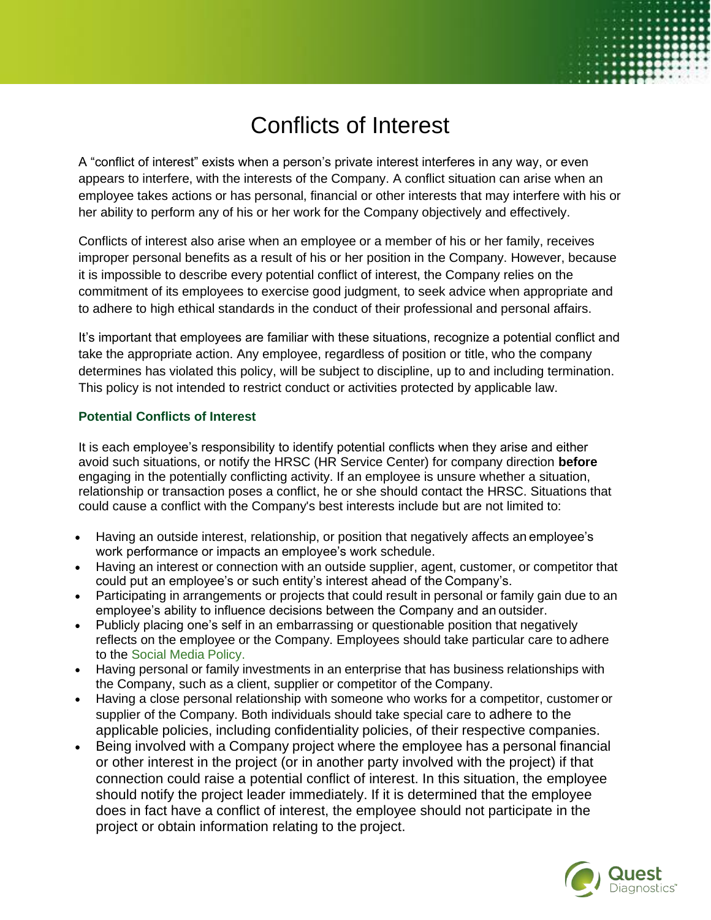# Conflicts of Interest

A "conflict of interest" exists when a person's private interest interferes in any way, or even appears to interfere, with the interests of the Company. A conflict situation can arise when an employee takes actions or has personal, financial or other interests that may interfere with his or her ability to perform any of his or her work for the Company objectively and effectively.

Conflicts of interest also arise when an employee or a member of his or her family, receives improper personal benefits as a result of his or her position in the Company. However, because it is impossible to describe every potential conflict of interest, the Company relies on the commitment of its employees to exercise good judgment, to seek advice when appropriate and to adhere to high ethical standards in the conduct of their professional and personal affairs.

It's important that employees are familiar with these situations, recognize a potential conflict and take the appropriate action. Any employee, regardless of position or title, who the company determines has violated this policy, will be subject to discipline, up to and including termination. This policy is not intended to restrict conduct or activities protected by applicable law.

#### **Potential Conflicts of Interest**

It is each employee's responsibility to identify potential conflicts when they arise and either avoid such situations, or notify the HRSC (HR Service Center) for company direction **before**  engaging in the potentially conflicting activity. If an employee is unsure whether a situation, relationship or transaction poses a conflict, he or she should contact the HRSC. Situations that could cause a conflict with the Company's best interests include but are not limited to:

- Having an outside interest, relationship, or position that negatively affects an employee's work performance or impacts an employee's work schedule.
- Having an interest or connection with an outside supplier, agent, customer, or competitor that could put an employee's or such entity's interest ahead of the Company's.
- Participating in arrangements or projects that could result in personal or family gain due to an employee's ability to influence decisions between the Company and an outsider.
- Publicly placing one's self in an embarrassing or questionable position that negatively reflects on the employee or the Company. Employees should take particular care to adhere to the [Social Media](https://questdiagnostics.ehr.com/us/en/ResourceLibrary/Social_Media_Policy.pdf) Policy.
- Having personal or family investments in an enterprise that has business relationships with the Company, such as a client, supplier or competitor of the Company.
- Having a close personal relationship with someone who works for a competitor, customer or supplier of the Company. Both individuals should take special care to adhere to the applicable policies, including confidentiality policies, of their respective companies.
- Being involved with a Company project where the employee has a personal financial or other interest in the project (or in another party involved with the project) if that connection could raise a potential conflict of interest. In this situation, the employee should notify the project leader immediately. If it is determined that the employee does in fact have a conflict of interest, the employee should not participate in the project or obtain information relating to the project.

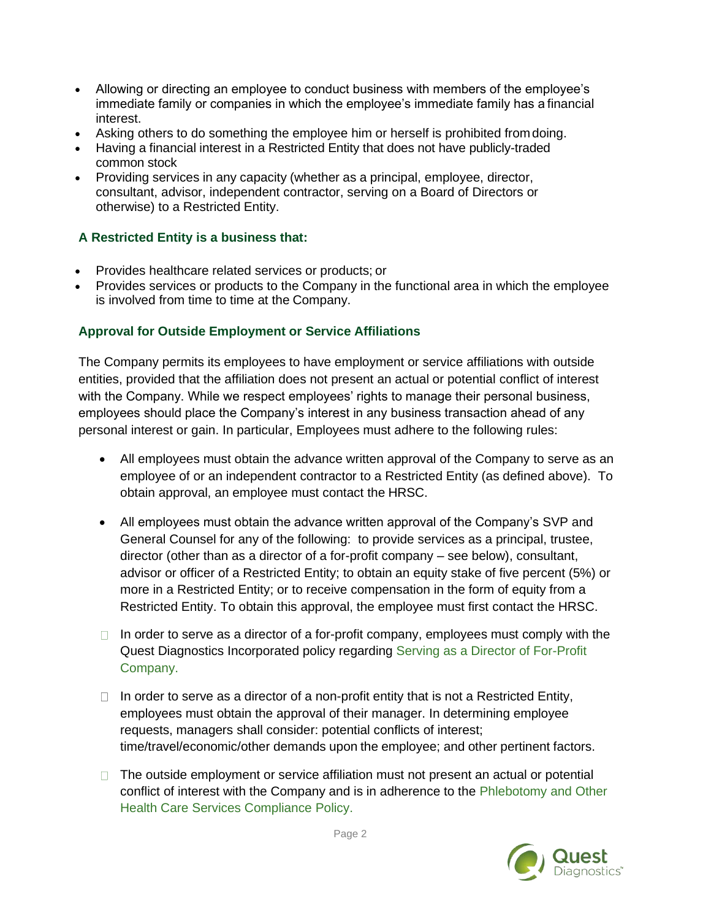- Allowing or directing an employee to conduct business with members of the employee's immediate family or companies in which the employee's immediate family has a financial interest.
- Asking others to do something the employee him or herself is prohibited from doing.
- Having a financial interest in a Restricted Entity that does not have publicly-traded common stock
- Providing services in any capacity (whether as a principal, employee, director, consultant, advisor, independent contractor, serving on a Board of Directors or otherwise) to a Restricted Entity.

### **A Restricted Entity is a business that:**

- Provides healthcare related services or products; or
- Provides services or products to the Company in the functional area in which the employee is involved from time to time at the Company.

## **Approval for Outside Employment or Service Affiliations**

The Company permits its employees to have employment or service affiliations with outside entities, provided that the affiliation does not present an actual or potential conflict of interest with the Company. While we respect employees' rights to manage their personal business, employees should place the Company's interest in any business transaction ahead of any personal interest or gain. In particular, Employees must adhere to the following rules:

- All employees must obtain the advance written approval of the Company to serve as an employee of or an independent contractor to a Restricted Entity (as defined above). To obtain approval, an employee must contact the HRSC.
- All employees must obtain the advance written approval of the Company's SVP and General Counsel for any of the following: to provide services as a principal, trustee, director (other than as a director of a for-profit company – see below), consultant, advisor or officer of a Restricted Entity; to obtain an equity stake of five percent (5%) or more in a Restricted Entity; or to receive compensation in the form of equity from a Restricted Entity. To obtain this approval, the employee must first contact the HRSC.
- $\Box$  In order to serve as a director of a for-profit company, employees must comply with the Quest Diagnostics Incorporated policy regarding [Serving as a Director of For-Profit](https://questdiagnostics.ehr.com/us/en/Career/Pages/Serving-as-a-Director-of-For-Profit-Company.aspx) [Company.](https://questdiagnostics.ehr.com/us/en/Career/Pages/Serving-as-a-Director-of-For-Profit-Company.aspx)
- $\Box$  In order to serve as a director of a non-profit entity that is not a Restricted Entity, employees must obtain the approval of their manager. In determining employee requests, managers shall consider: potential conflicts of interest; time/travel/economic/other demands upon the employee; and other pertinent factors.
- $\Box$  The outside employment or service affiliation must not present an actual or potential conflict of interest with the Company and is in adherence to the [Phlebotomy and Other](https://questdiagnostics.ehr.com/us/en/External/Documents/phlebotomy_and_other_health_care_services_policy.pdf) [Health Care Services Compliance](https://questdiagnostics.ehr.com/us/en/External/Documents/phlebotomy_and_other_health_care_services_policy.pdf) Policy.

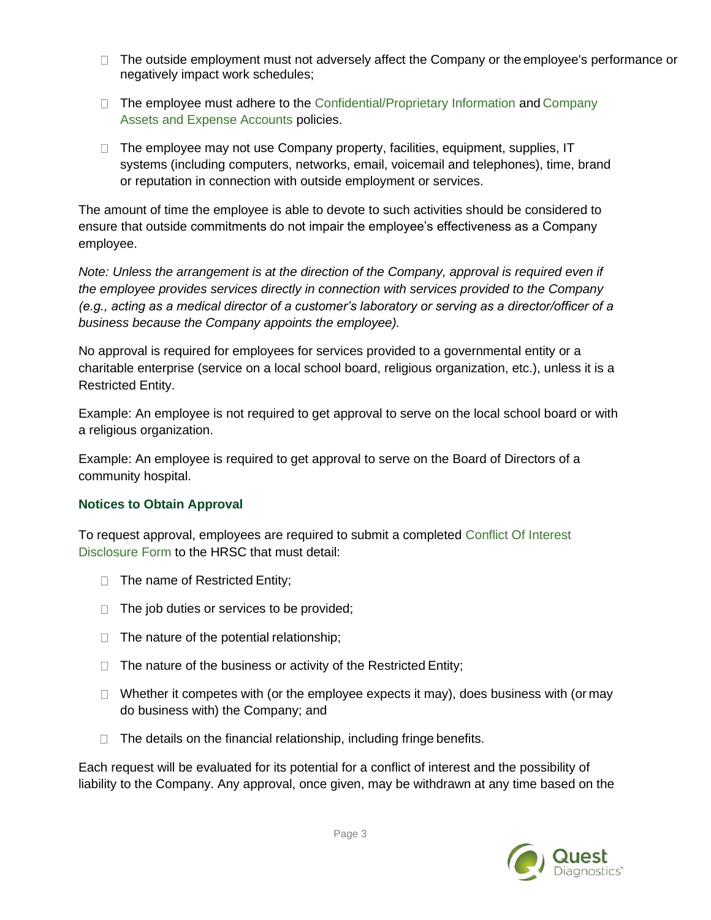- $\Box$  The outside employment must not adversely affect the Company or the employee's performance or negatively impact work schedules;
- $\Box$  The employee must adhere to the [Confidential/Proprietary Information a](https://questdiagnostics.ehr.com/us/en/Career/Pages/Confidential-and-Proprietary-Information.aspx)nd [Company](https://questdiagnostics.ehr.com/us/en/Career/Pages/Company-Assets-and-Expense-Accounts.aspx) [Assets and Expense Accounts](https://questdiagnostics.ehr.com/us/en/Career/Pages/Company-Assets-and-Expense-Accounts.aspx) policies.
- $\Box$  The employee may not use Company property, facilities, equipment, supplies, IT systems (including computers, networks, email, voicemail and telephones), time, brand or reputation in connection with outside employment or services.

The amount of time the employee is able to devote to such activities should be considered to ensure that outside commitments do not impair the employee's effectiveness as a Company employee.

*Note: Unless the arrangement is at the direction of the Company, approval is required even if the employee provides services directly in connection with services provided to the Company (e.g., acting as a medical director of a customer's laboratory or serving as a director/officer of a business because the Company appoints the employee).*

No approval is required for employees for services provided to a governmental entity or a charitable enterprise (service on a local school board, religious organization, etc.), unless it is a Restricted Entity.

Example: An employee is not required to get approval to serve on the local school board or with a religious organization.

Example: An employee is required to get approval to serve on the Board of Directors of a community hospital.

### **Notices to Obtain Approval**

To request approval, employees are required to submit a completed [Conflict Of Interest](https://questdiagnostics.ehr.com/us/en/Career/Documents/conflict_of_interest_disclosure_form.doc) [Disclosure Form t](https://questdiagnostics.ehr.com/us/en/Career/Documents/conflict_of_interest_disclosure_form.doc)o the HRSC that must detail:

- $\Box$  The name of Restricted Entity;
- $\Box$  The job duties or services to be provided;
- $\Box$  The nature of the potential relationship;
- $\Box$  The nature of the business or activity of the Restricted Entity;
- $\Box$  Whether it competes with (or the employee expects it may), does business with (or may do business with) the Company; and
- $\Box$  The details on the financial relationship, including fringe benefits.

Each request will be evaluated for its potential for a conflict of interest and the possibility of liability to the Company. Any approval, once given, may be withdrawn at any time based on the